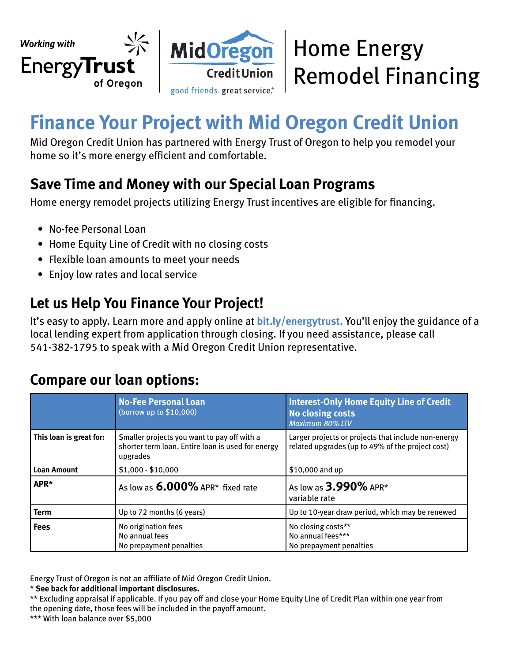

# **Finance Your Project with Mid Oregon Credit Union**

Mid Oregon Credit Union has partnered with Energy Trust of Oregon to help you remodel your home so it's more energy efficient and comfortable.

### **Save Time and Money with our Special Loan Programs**

Home energy remodel projects utilizing Energy Trust incentives are eligible for financing.

- No-fee Personal Loan
- Home Equity Line of Credit with no closing costs
- Flexible loan amounts to meet your needs
- Enjoy low rates and local service

### **Let us Help You Finance Your Project!**

It's easy to apply. Learn more and apply online at **[bit.ly/energytrust.](https://bit.ly/energytrust)** You'll enjoy the guidance of a local lending expert from application through closing. If you need assistance, please call 541-382-1795 to speak with a Mid Oregon Credit Union representative.

#### **Compare our loan options:**

|                         | <b>No-Fee Personal Loan</b><br>(borrow up to $$10,000$ )                                                     | <b>Interest-Only Home Equity Line of Credit</b><br><b>No closing costs</b><br>Maximum 80% LTV           |  |
|-------------------------|--------------------------------------------------------------------------------------------------------------|---------------------------------------------------------------------------------------------------------|--|
| This loan is great for: | Smaller projects you want to pay off with a<br>shorter term loan. Entire loan is used for energy<br>upgrades | Larger projects or projects that include non-energy<br>related upgrades (up to 49% of the project cost) |  |
| <b>Loan Amount</b>      | $$1,000 - $10,000$                                                                                           | \$10,000 and up                                                                                         |  |
| APR*                    | As low as $6.000\%$ APR* fixed rate                                                                          | As low as 3.990% APR*<br>variable rate                                                                  |  |
| <b>Term</b>             | Up to 72 months (6 years)                                                                                    | Up to 10-year draw period, which may be renewed                                                         |  |
| <b>Fees</b>             | No origination fees<br>No annual fees<br>No prepayment penalties                                             | No closing costs**<br>No annual fees***<br>No prepayment penalties                                      |  |

Energy Trust of Oregon is not an affiliate of Mid Oregon Credit Union.

\* **See back for additional important disclosures.**

\*\* Excluding appraisal if applicable. If you pay off and close your Home Equity Line of Credit Plan within one year from the opening date, those fees will be included in the payoff amount.

\*\*\* With loan balance over \$5,000